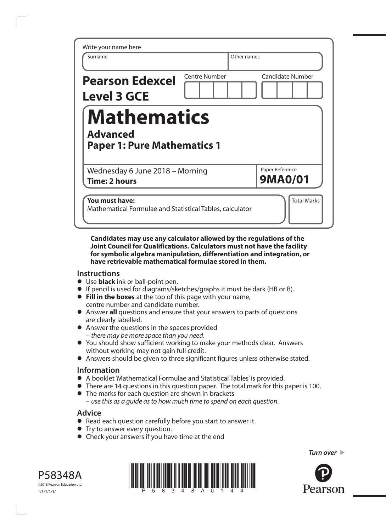| Write your name here<br>Surname                                             |                      | Other names                       |
|-----------------------------------------------------------------------------|----------------------|-----------------------------------|
| <b>Pearson Edexcel</b><br><b>Level 3 GCE</b>                                | <b>Centre Number</b> | <b>Candidate Number</b>           |
| <b>Mathematics</b><br><b>Advanced</b><br><b>Paper 1: Pure Mathematics 1</b> |                      |                                   |
| Wednesday 6 June 2018 – Morning<br><b>Time: 2 hours</b>                     |                      | Paper Reference<br><b>9MA0/01</b> |
|                                                                             |                      |                                   |

**Candidates may use any calculator allowed by the regulations of the Joint Council for Qualifications. Calculators must not have the facility for symbolic algebra manipulation, differentiation and integration, or have retrievable mathematical formulae stored in them.**

### **Instructions**

- **•** Use **black** ink or ball-point pen.
- **•** If pencil is used for diagrams/sketches/graphs it must be dark (HB or B).
- **• Fill in the boxes** at the top of this page with your name, centre number and candidate number.
- **•** Answer **all** questions and ensure that your answers to parts of questions are clearly labelled.
- **•** Answer the questions in the spaces provided – *there may be more space than you need*.
- **•** You should show sufficient working to make your methods clear. Answers without working may not gain full credit.
- **•** Answers should be given to three significant figures unless otherwise stated.

### **Information**

- **•** A booklet 'Mathematical Formulae and Statistical Tables' is provided.
- **•** There are 14 questions in this question paper. The total mark for this paper is 100.
- **•** The marks for each question are shown in brackets – *use this as a guide as to how much time to spend on each question*.

## **Advice**

- **•** Read each question carefully before you start to answer it.
- **•** Try to answer every question.
- **•** Check your answers if you have time at the end





*Turn over* 

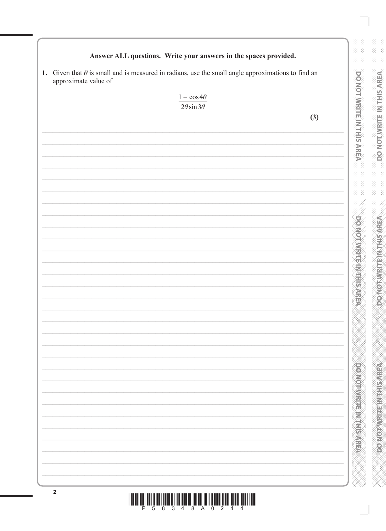## Answer ALL questions. Write your answers in the spaces provided.

1. Given that  $\theta$  is small and is measured in radians, use the small angle approximations to find an approximate value of

| approximate value of |                               |     |
|----------------------|-------------------------------|-----|
|                      | $1-\cos4\theta$               |     |
|                      | $\sqrt{2\theta \sin 3\theta}$ |     |
|                      |                               |     |
|                      |                               | (3) |
|                      |                               |     |
|                      |                               |     |
|                      |                               |     |
|                      |                               |     |
|                      |                               |     |
|                      |                               |     |
|                      |                               |     |
|                      |                               |     |
|                      |                               |     |
|                      |                               |     |
|                      |                               |     |
|                      |                               |     |
|                      |                               |     |
|                      |                               |     |
|                      |                               |     |
|                      |                               |     |
|                      |                               |     |
|                      |                               |     |
|                      |                               |     |
|                      |                               |     |
|                      |                               |     |
|                      |                               |     |
|                      |                               |     |
|                      |                               |     |
|                      |                               |     |
|                      |                               |     |
|                      |                               |     |
|                      |                               |     |
|                      |                               |     |
|                      |                               |     |
|                      |                               |     |
|                      |                               |     |
|                      |                               |     |
|                      |                               |     |
|                      |                               |     |
|                      |                               |     |
|                      |                               |     |
|                      |                               |     |
|                      |                               |     |
|                      |                               |     |
|                      |                               |     |
|                      |                               |     |
|                      |                               |     |

 $||\text{min}_{p} ||\text{min}_{q} ||\text{min}_{q} ||\text{min}_{q} ||\text{min}_{q} ||\text{min}_{q} ||\text{min}_{q} ||\text{min}_{q} ||\text{min}_{q} ||\text{min}_{q} ||\text{min}_{q} ||\text{min}_{q} ||\text{min}_{q} ||\text{min}_{q} ||\text{min}_{q} ||\text{min}_{q} ||\text{min}_{q} ||\text{min}_{q} ||\text{min}_{q} ||\text{min}_{q} ||\text{min}_{q} ||\text{min}_{q} ||\text{min}_{q} ||\text{min}_{q} ||\text{min}_{q} ||\text{min}_{q} ||\text{min}_{q} ||\text{$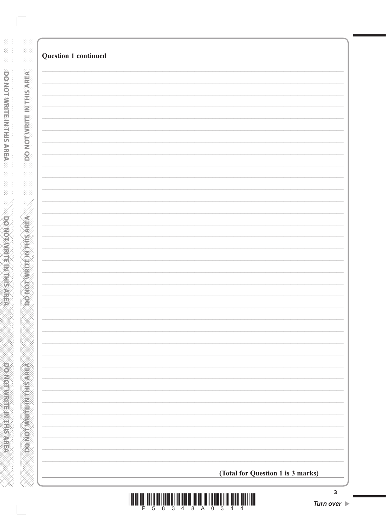| <b>Question 1 continued</b>       |  |
|-----------------------------------|--|
|                                   |  |
|                                   |  |
|                                   |  |
|                                   |  |
|                                   |  |
|                                   |  |
|                                   |  |
|                                   |  |
|                                   |  |
|                                   |  |
|                                   |  |
|                                   |  |
|                                   |  |
|                                   |  |
|                                   |  |
|                                   |  |
|                                   |  |
|                                   |  |
|                                   |  |
|                                   |  |
|                                   |  |
|                                   |  |
|                                   |  |
|                                   |  |
|                                   |  |
|                                   |  |
|                                   |  |
|                                   |  |
|                                   |  |
|                                   |  |
|                                   |  |
|                                   |  |
|                                   |  |
| (Total for Question 1 is 3 marks) |  |
|                                   |  |

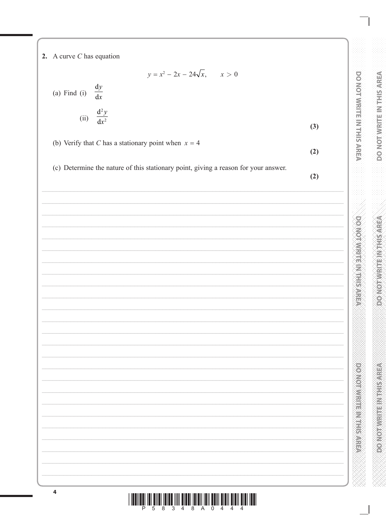2. A curve  $C$  has equation

$$
y = x^2 - 2x - 24\sqrt{x}, \qquad x > 0
$$

 $\frac{\mathrm{d}y}{\mathrm{d}x}$ (a) Find  $(i)$ 

(ii) 
$$
\frac{d^2y}{dx^2}
$$
 (3)

(b) Verify that C has a stationary point when  $x = 4$ 

(c) Determine the nature of this stationary point, giving a reason for your answer.

 $(2)$ 

 $(2)$ 

DO NOT WRITE IN THIS AREA

**DO NOT WRITE IN THE STREET** 

**DOMOTHER RESERVED** 

| $\overline{a}$ |  |
|----------------|--|



 $\overline{\phantom{a}}$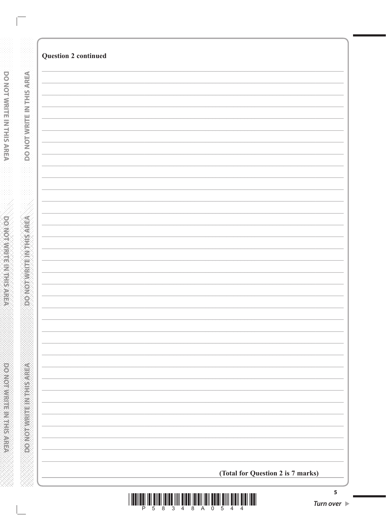| (Total for Question 2 is 7 marks) |
|-----------------------------------|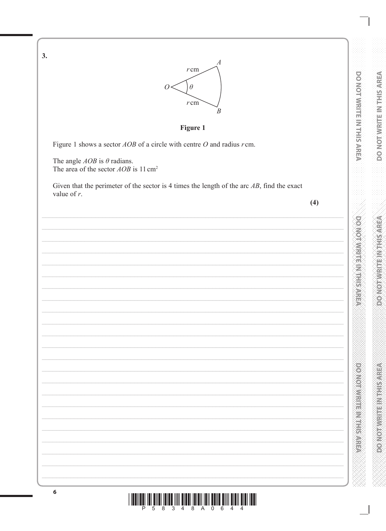DO NOT WRITE IN THIS AREA **DOMOTWRITE METHORICA** 

**PONOSTIC PROTECTION** 



 $\overline{4}$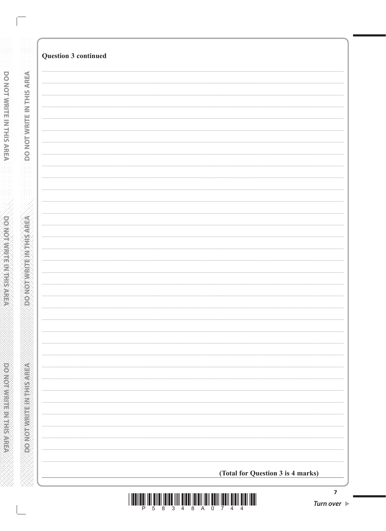| <b>Question 3 continued</b>       |  |
|-----------------------------------|--|
|                                   |  |
|                                   |  |
|                                   |  |
|                                   |  |
|                                   |  |
|                                   |  |
|                                   |  |
|                                   |  |
|                                   |  |
|                                   |  |
|                                   |  |
|                                   |  |
|                                   |  |
|                                   |  |
|                                   |  |
|                                   |  |
|                                   |  |
|                                   |  |
|                                   |  |
|                                   |  |
|                                   |  |
|                                   |  |
|                                   |  |
|                                   |  |
|                                   |  |
|                                   |  |
|                                   |  |
|                                   |  |
|                                   |  |
|                                   |  |
|                                   |  |
|                                   |  |
|                                   |  |
|                                   |  |
|                                   |  |
|                                   |  |
|                                   |  |
|                                   |  |
|                                   |  |
|                                   |  |
|                                   |  |
|                                   |  |
| (Total for Question 3 is 4 marks) |  |
|                                   |  |

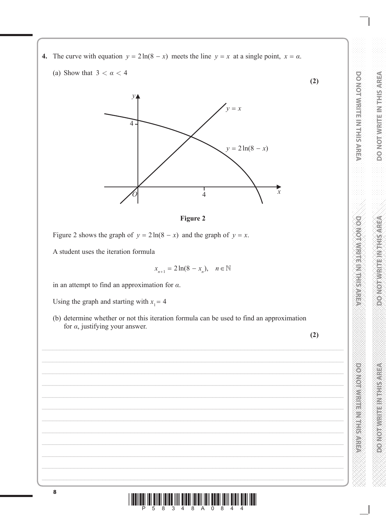- **4.** The curve with equation  $y = 2\ln(8 x)$  meets the line  $y = x$  at a single point,  $x = a$ .
	- (a) Show that  $3 < \alpha < 4$





Figure 2 shows the graph of  $y = 2\ln(8 - x)$  and the graph of  $y = x$ .

A student uses the iteration formula

$$
x_{n+1} = 2\ln(8 - x_n), \quad n \in \mathbb{N}
$$

in an attempt to find an approximation for *α*.

Using the graph and starting with  $x_1 = 4$ 

(b) determine whether or not this iteration formula can be used to find an approximation for *α*, justifying your answer.

**(2)**

**PONONNETH METHODS DO NOT WRITE IN THIS AREA**

**DO NOT WRITE IN THE INTERNATION** 

**DO NOT WRITE IN THIS AREA** 

**(2)**

**DO NOT WRITE IN THE INTERNATIONAL CONTRACTOR** 

**DOMOTIVITIE MISSURE** 

\*P58348A0844\*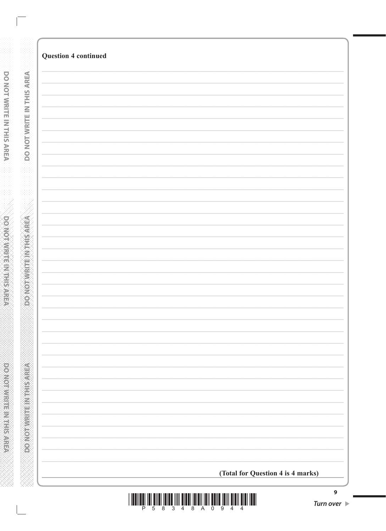| <b>Question 4 continued</b> |                                   |
|-----------------------------|-----------------------------------|
|                             |                                   |
|                             |                                   |
|                             |                                   |
|                             |                                   |
|                             |                                   |
|                             |                                   |
|                             |                                   |
|                             |                                   |
|                             |                                   |
|                             |                                   |
|                             |                                   |
|                             |                                   |
|                             |                                   |
|                             |                                   |
|                             |                                   |
|                             |                                   |
|                             |                                   |
|                             |                                   |
|                             |                                   |
|                             |                                   |
|                             |                                   |
|                             |                                   |
|                             |                                   |
|                             |                                   |
|                             |                                   |
|                             |                                   |
|                             |                                   |
|                             |                                   |
|                             |                                   |
|                             | (Total for Question 4 is 4 marks) |

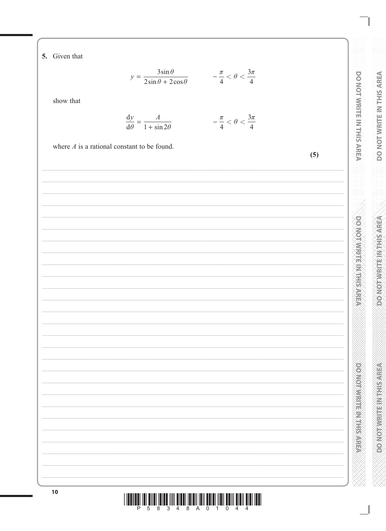5. Given that

$$
y = \frac{3\sin\theta}{2\sin\theta + 2\cos\theta} \qquad -\frac{\pi}{4} < \theta < \frac{3\pi}{4}
$$

show that

$$
\frac{dy}{d\theta} = \frac{A}{1 + \sin 2\theta} \qquad -\frac{\pi}{4} < \theta < \frac{3\pi}{4}
$$

DO NOT WRITE IN THIS AREA

**DOMOTOMRITEIN THEATER** 

**DOOMOODWELF IN THE AREA** 

 $\frac{\pi}{\sqrt{2}}$ where  $A$  is a rational constant to be found.  $(5)$ 



lli<br>P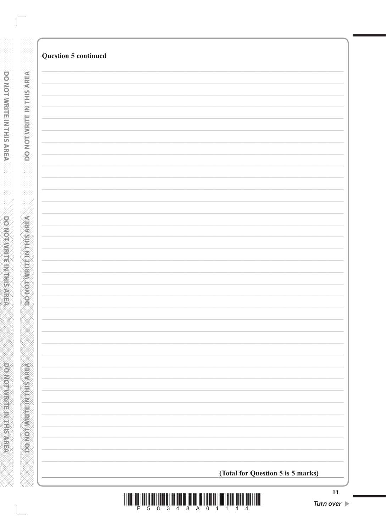| (Total for Question 5 is 5 marks) |                             |  |
|-----------------------------------|-----------------------------|--|
|                                   | <b>Question 5 continued</b> |  |
|                                   |                             |  |
|                                   |                             |  |
|                                   |                             |  |
|                                   |                             |  |
|                                   |                             |  |
|                                   |                             |  |
|                                   |                             |  |
|                                   |                             |  |
|                                   |                             |  |
|                                   |                             |  |
|                                   |                             |  |
|                                   |                             |  |
|                                   |                             |  |
|                                   |                             |  |
|                                   |                             |  |
|                                   |                             |  |
|                                   |                             |  |
|                                   |                             |  |
|                                   |                             |  |
|                                   |                             |  |
|                                   |                             |  |
|                                   |                             |  |
|                                   |                             |  |
|                                   |                             |  |
|                                   |                             |  |
|                                   |                             |  |
|                                   |                             |  |
|                                   |                             |  |
|                                   |                             |  |
|                                   |                             |  |
|                                   |                             |  |
|                                   |                             |  |
|                                   |                             |  |
|                                   |                             |  |
|                                   |                             |  |
|                                   |                             |  |
|                                   |                             |  |
|                                   |                             |  |
|                                   |                             |  |
|                                   |                             |  |
|                                   |                             |  |
|                                   |                             |  |
|                                   |                             |  |
|                                   |                             |  |
|                                   |                             |  |

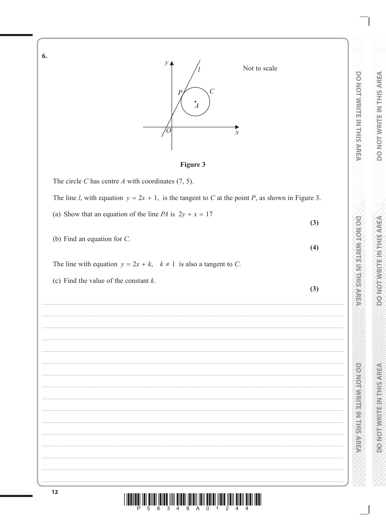6.



**Figure 3** 

The circle C has centre  $A$  with coordinates (7, 5).

The line *l*, with equation  $y = 2x + 1$ , is the tangent to *C* at the point *P*, as shown in Figure 3.

(a) Show that an equation of the line *PA* is  $2y + x = 17$ 

(b) Find an equation for  $C$ .

The line with equation  $y = 2x + k$ ,  $k \ne 1$  is also a tangent to C.

(c) Find the value of the constant  $k$ .

|   | ٠       |  |
|---|---------|--|
|   | ×       |  |
|   |         |  |
| × | I<br>۰. |  |

 $(3)$ 

 $(4)$ 

DO NOT WRITE IN THIS AREA

**DOMOTWRITE IN THIS AREA** 

**DOMOTIVETTE IN THE RESPECT** 

 $\mathbb{II}$   $\mathbb{II}$  $\frac{1}{8}$  $\frac{1}{4}$ 1| || || || || || ||<br>| 8<br>| 8  $\frac{1}{\alpha}$  $\overline{5}$  $\overline{1}$  $\overline{2}$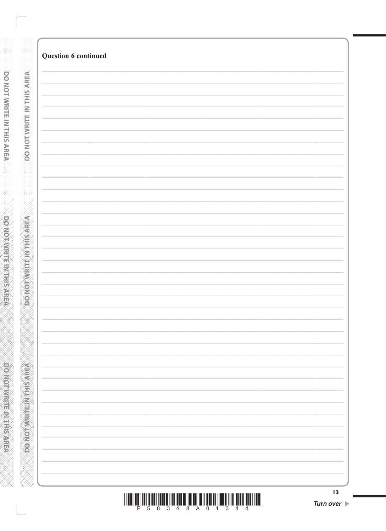| Question 6 continued |  |
|----------------------|--|
|                      |  |
|                      |  |
|                      |  |
|                      |  |
|                      |  |
|                      |  |
|                      |  |
|                      |  |
|                      |  |
|                      |  |
|                      |  |
|                      |  |
|                      |  |
|                      |  |
|                      |  |
|                      |  |
|                      |  |
|                      |  |
|                      |  |
|                      |  |
|                      |  |
|                      |  |
|                      |  |
|                      |  |
|                      |  |
|                      |  |
|                      |  |
|                      |  |
|                      |  |
|                      |  |
|                      |  |
|                      |  |
|                      |  |
|                      |  |
|                      |  |
|                      |  |
|                      |  |
|                      |  |
|                      |  |
|                      |  |
|                      |  |
|                      |  |
|                      |  |
|                      |  |
|                      |  |
|                      |  |
|                      |  |
|                      |  |
|                      |  |
|                      |  |
|                      |  |
|                      |  |
|                      |  |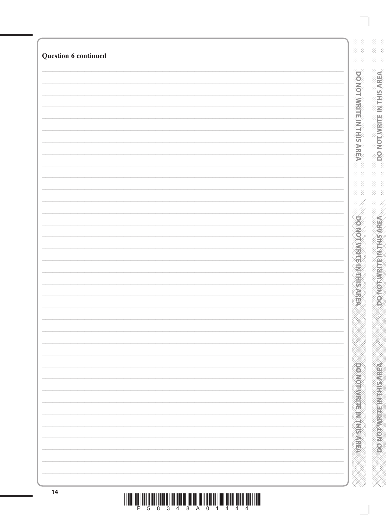| <b>Question 6 continued</b> |                                 |
|-----------------------------|---------------------------------|
|                             |                                 |
|                             |                                 |
|                             |                                 |
|                             |                                 |
|                             |                                 |
|                             |                                 |
|                             |                                 |
|                             |                                 |
|                             |                                 |
|                             |                                 |
|                             |                                 |
|                             |                                 |
|                             |                                 |
|                             |                                 |
|                             |                                 |
|                             |                                 |
|                             |                                 |
|                             |                                 |
|                             | <b>DO NOT WRITE IN THIS ARE</b> |
|                             |                                 |
|                             |                                 |
|                             |                                 |
|                             |                                 |
|                             |                                 |
|                             |                                 |
|                             |                                 |
|                             |                                 |
|                             |                                 |
|                             |                                 |
|                             |                                 |
|                             |                                 |
|                             |                                 |
|                             |                                 |
|                             |                                 |
|                             |                                 |
|                             |                                 |
|                             |                                 |
|                             |                                 |
|                             |                                 |
|                             |                                 |
|                             |                                 |
|                             |                                 |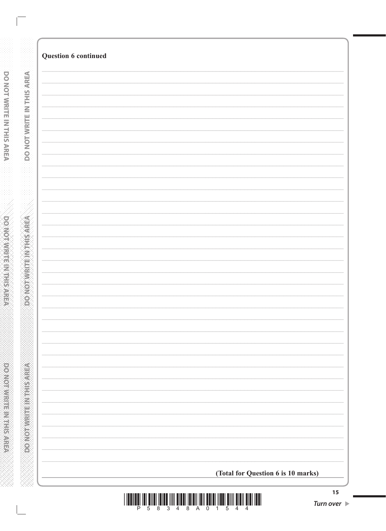| <b>Question 6 continued</b> |                                    |
|-----------------------------|------------------------------------|
|                             |                                    |
|                             |                                    |
|                             |                                    |
|                             |                                    |
|                             |                                    |
|                             |                                    |
|                             |                                    |
|                             |                                    |
|                             |                                    |
|                             |                                    |
|                             |                                    |
|                             |                                    |
|                             |                                    |
|                             |                                    |
|                             |                                    |
|                             |                                    |
|                             |                                    |
|                             |                                    |
|                             |                                    |
|                             |                                    |
|                             |                                    |
|                             |                                    |
|                             |                                    |
|                             | (Total for Question 6 is 10 marks) |

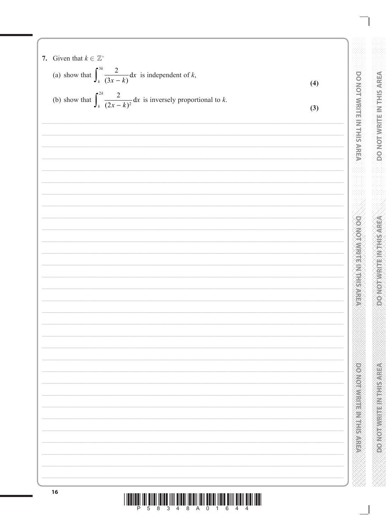7. Given that 
$$
k \in \mathbb{Z}^*
$$
  
\n(a) show that  $\int_{k}^{2k} \frac{2}{(3x-k)} dx$  is independent of k,  
\n(b) show that  $\int_{k}^{2k} \frac{2}{(2x-k)^{2}} dx$  is inversely proportional to k.  
\n(3)  
\n(4)  
\n(5)  
\n(6)  
\n(7)  
\n(8)  
\n(9)  
\n(10)  
\n(11)  
\n(20)  
\n(3)  
\n(4)  
\n(5)  
\n(6)  
\n(7)  
\n(8)  
\n(9)  
\n(10)  
\n(11)  
\n(20)  
\n(3)  
\n(4)  
\n(5)  
\n(6)  
\n(7)  
\n(8)  
\n(9)  
\n(10)  
\n(10)  
\n(11)  
\n(20)  
\n(3)  
\n(4)  
\n(5)  
\n(6)  
\n(7)  
\n(8)  
\n(9)  
\n(10)  
\n(10)  
\n(11)  
\n(12)  
\n(13)  
\n(15)  
\n(16)  
\n(17)  
\n(18)  
\n(19)  
\n(10)  
\n(10)  
\n(10)  
\n(11)  
\n(12)  
\n(13)  
\n(16)  
\n(19)  
\n(10)  
\n(10)  
\n(10)  
\n(10)  
\n(11)  
\n(12)  
\n(13)  
\n(16)  
\n(16)  
\n(17)  
\n(18)  
\n(19)  
\n(10)  
\n(10)  
\n(10)  
\n(11)  
\n(12)  
\n(13)  
\n(16)  
\n(16)  
\n(17)  
\n(18)  
\n(19)  
\n(10)  
\n(10)  
\n(10)  
\n(11)  
\n(12)  
\n(13)  
\n(16)  
\n(19)  
\n(10)  
\n(10)  
\n(10)  
\n(11)  
\n(12)  
\n(13)  
\n(15)  
\n(16)  
\n(16)  
\n(17)  
\n(18)  
\n(19)  
\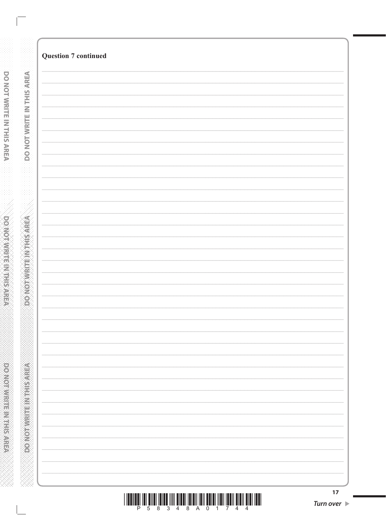| <b>Question 7 continued</b> |
|-----------------------------|
|                             |
|                             |
|                             |
|                             |
|                             |
|                             |
|                             |
|                             |
|                             |
|                             |
|                             |
|                             |
|                             |
|                             |
|                             |
|                             |
|                             |
|                             |
|                             |
|                             |
|                             |
|                             |
|                             |
|                             |
|                             |
|                             |
|                             |
|                             |
|                             |
|                             |
|                             |
|                             |
|                             |
|                             |
|                             |
|                             |
|                             |
|                             |
|                             |
|                             |
|                             |
|                             |
|                             |
|                             |
|                             |
|                             |
|                             |
|                             |
|                             |
|                             |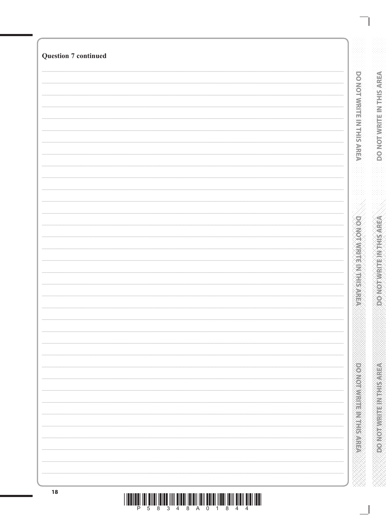| <b>Question 7 continued</b> |                               |
|-----------------------------|-------------------------------|
|                             |                               |
|                             | DO NOT WRITE IN THIS AREA     |
|                             |                               |
|                             |                               |
|                             |                               |
|                             |                               |
|                             |                               |
|                             |                               |
|                             |                               |
|                             |                               |
|                             |                               |
|                             |                               |
|                             |                               |
|                             |                               |
|                             |                               |
|                             |                               |
|                             |                               |
|                             |                               |
|                             |                               |
|                             |                               |
|                             | <b>DOMONAIREMANCING</b>       |
|                             |                               |
|                             |                               |
|                             |                               |
|                             |                               |
|                             |                               |
|                             |                               |
|                             |                               |
|                             |                               |
|                             |                               |
|                             |                               |
|                             |                               |
|                             |                               |
|                             |                               |
|                             |                               |
|                             |                               |
|                             |                               |
|                             |                               |
|                             |                               |
|                             | <b>Provided a consequence</b> |
|                             |                               |
|                             |                               |
|                             |                               |
|                             |                               |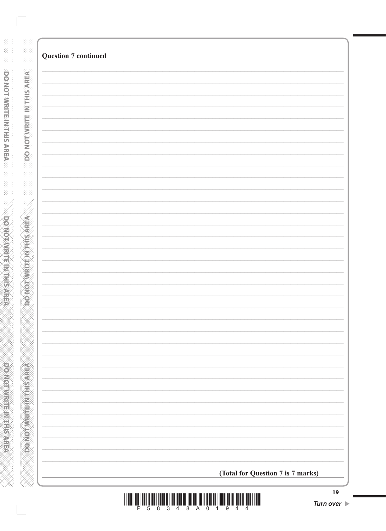|                               | <b>Question 7 continued</b>       |
|-------------------------------|-----------------------------------|
|                               |                                   |
|                               |                                   |
|                               |                                   |
|                               |                                   |
|                               |                                   |
| DO NOT WRITE IN THIS AREA     |                                   |
|                               |                                   |
|                               |                                   |
|                               |                                   |
|                               |                                   |
|                               |                                   |
|                               |                                   |
|                               |                                   |
| <b>REPARE HAS DESCRIPTION</b> |                                   |
|                               |                                   |
|                               |                                   |
|                               |                                   |
|                               |                                   |
|                               |                                   |
|                               |                                   |
|                               |                                   |
|                               |                                   |
|                               |                                   |
|                               |                                   |
|                               |                                   |
|                               |                                   |
|                               |                                   |
| DO NOTWAITE INTHISTAREA       |                                   |
|                               |                                   |
|                               |                                   |
|                               | (Total for Question 7 is 7 marks) |
|                               |                                   |

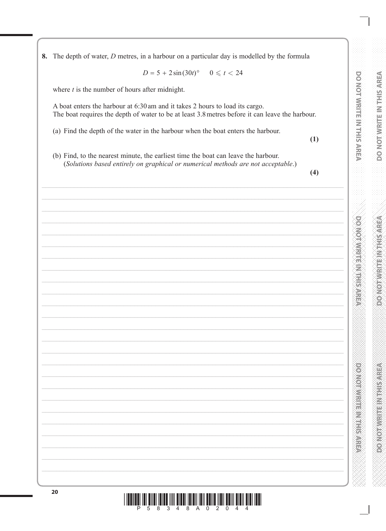8. The depth of water, *D* metres, in a harbour on a particular day is modelled by the formula

 $D = 5 + 2\sin(30t)$ <sup>o</sup>  $0 \le t < 24$ 

where  $t$  is the number of hours after midnight.

A boat enters the harbour at 6:30 am and it takes 2 hours to load its cargo. The boat requires the depth of water to be at least 3.8 metres before it can leave the harbour.

- (a) Find the depth of the water in the harbour when the boat enters the harbour.
- $(1)$

**DO NOT WRITE IN THIS AREA** 

**DOMOTAWREIGHTSPREEF** 

**DESIGNED MESSAGE** 

(b) Find, to the nearest minute, the earliest time the boat can leave the harbour. (Solutions based entirely on graphical or numerical methods are not acceptable.)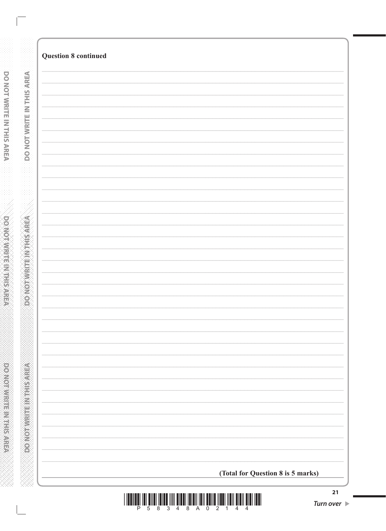| <b>Question 8 continued</b>       |
|-----------------------------------|
|                                   |
|                                   |
|                                   |
|                                   |
|                                   |
|                                   |
|                                   |
|                                   |
|                                   |
|                                   |
|                                   |
|                                   |
|                                   |
|                                   |
|                                   |
|                                   |
|                                   |
|                                   |
|                                   |
|                                   |
|                                   |
|                                   |
|                                   |
|                                   |
|                                   |
|                                   |
|                                   |
|                                   |
|                                   |
|                                   |
|                                   |
|                                   |
|                                   |
|                                   |
|                                   |
| (Total for Question 8 is 5 marks) |
|                                   |

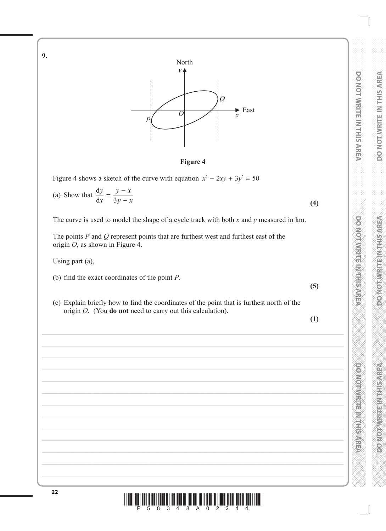DO NOT WRITE IN THIS AREA **DO NOT WRITE IN THE INTERNATION** 

**DOMOTWRITE IN THIS AREA DO NOT WRITE IN THE INTERNATIONAL CONTRACTOR** 

**CONGRESS CONSTRUCTS DO NOT WRITE IN THIS AREA**



**Figure 4**

Figure 4 shows a sketch of the curve with equation  $x^2 - 2xy + 3y^2 = 50$ 

(a) Show that  $\frac{d}{1}$ d *y x*  $\frac{y-x}{3y-x}$  $3y - x$  (4)

The curve is used to model the shape of a cycle track with both *x* and *y* measured in km.

The points *P* and *Q* represent points that are furthest west and furthest east of the origin *O*, as shown in Figure 4.

Using part (a),

**9.**

- (b) find the exact coordinates of the point *P*.
- (c) Explain briefly how to find the coordinates of the point that is furthest north of the origin *O*. (You **do not** need to carry out this calculation).

**(1)**

**(5)**

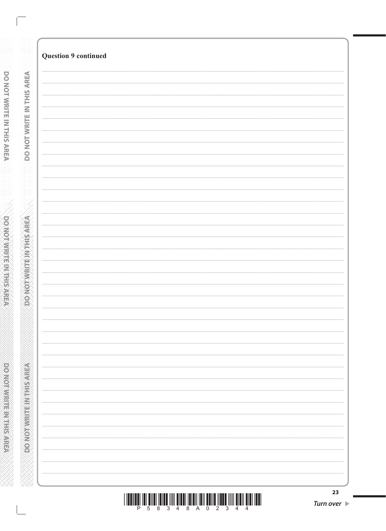| <b>Question 9 continued</b> |    |
|-----------------------------|----|
|                             |    |
|                             |    |
|                             |    |
|                             |    |
|                             |    |
|                             |    |
|                             |    |
|                             |    |
|                             |    |
|                             |    |
|                             |    |
|                             |    |
|                             |    |
|                             |    |
|                             |    |
|                             |    |
|                             |    |
|                             |    |
|                             |    |
|                             |    |
|                             |    |
|                             |    |
|                             |    |
|                             |    |
|                             |    |
|                             |    |
|                             |    |
|                             |    |
|                             |    |
|                             |    |
|                             |    |
|                             |    |
|                             |    |
|                             |    |
|                             |    |
|                             |    |
|                             |    |
|                             |    |
|                             |    |
|                             |    |
|                             |    |
|                             |    |
|                             |    |
|                             |    |
|                             |    |
|                             | 23 |

|  |  | 5 8 3 4 8 A 0 2 3 |  |  |  |  |
|--|--|-------------------|--|--|--|--|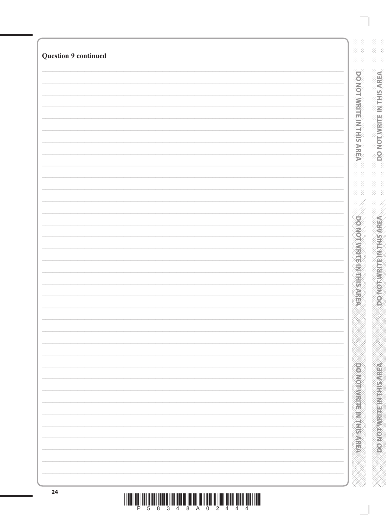| <b>Question 9 continued</b> |  |                                 |
|-----------------------------|--|---------------------------------|
|                             |  |                                 |
|                             |  |                                 |
|                             |  |                                 |
|                             |  |                                 |
|                             |  |                                 |
|                             |  |                                 |
|                             |  |                                 |
|                             |  |                                 |
|                             |  |                                 |
|                             |  |                                 |
|                             |  |                                 |
|                             |  |                                 |
|                             |  |                                 |
|                             |  |                                 |
|                             |  |                                 |
|                             |  |                                 |
|                             |  |                                 |
|                             |  |                                 |
|                             |  |                                 |
|                             |  |                                 |
|                             |  | <b>DO NOT WRITE IN THE RARE</b> |
|                             |  |                                 |
|                             |  |                                 |
|                             |  |                                 |
|                             |  |                                 |
|                             |  |                                 |
|                             |  |                                 |
|                             |  |                                 |
|                             |  |                                 |
|                             |  |                                 |
|                             |  |                                 |
|                             |  |                                 |
|                             |  |                                 |
|                             |  |                                 |
|                             |  |                                 |
|                             |  |                                 |
|                             |  |                                 |
|                             |  |                                 |
|                             |  |                                 |
|                             |  |                                 |
|                             |  |                                 |
|                             |  |                                 |
|                             |  |                                 |
|                             |  |                                 |
|                             |  |                                 |
|                             |  |                                 |
|                             |  |                                 |
|                             |  |                                 |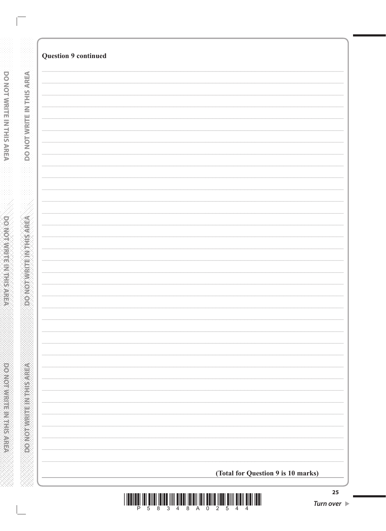|                           | <b>Question 9 continued</b>        |
|---------------------------|------------------------------------|
|                           |                                    |
| DO NOT WRITE IN THIS AREA |                                    |
|                           |                                    |
|                           |                                    |
|                           |                                    |
|                           |                                    |
|                           |                                    |
|                           |                                    |
|                           |                                    |
|                           |                                    |
|                           |                                    |
|                           |                                    |
|                           |                                    |
|                           |                                    |
|                           |                                    |
|                           |                                    |
|                           |                                    |
|                           |                                    |
|                           |                                    |
|                           |                                    |
|                           |                                    |
|                           |                                    |
|                           | (Total for Question 9 is 10 marks) |

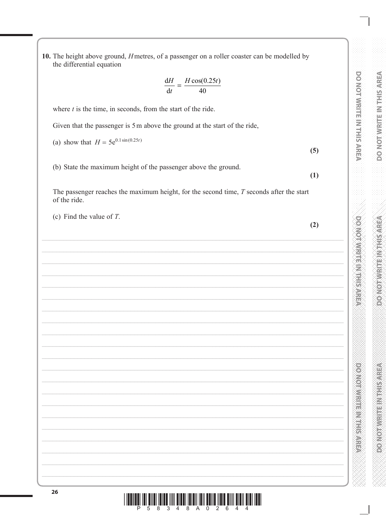10. The height above ground, *H* metres, of a passenger on a roller coaster can be modelled by the differential equation

$$
\frac{dH}{dt} = \frac{H\cos(0.25t)}{40}
$$

where  $t$  is the time, in seconds, from the start of the ride.

Given that the passenger is 5 m above the ground at the start of the ride,

(a) show that  $H = 5e^{0.1 \sin(0.25t)}$ 

(b) State the maximum height of the passenger above the ground.

The passenger reaches the maximum height, for the second time,  $T$  seconds after the start of the ride.

(c) Find the value of  $T$ .

 $(2)$ 

 $(5)$ 

 $(1)$ 

DO NOT WRITE IN THIS AREA

**DOMOTIVITE MARKET** 

**Marine School School School School** 

| <u>Dahaal iskun kara hiil olah kalendari kalendar kara maalik daha. Ba</u> |  |  |  |
|----------------------------------------------------------------------------|--|--|--|
|                                                                            |  |  |  |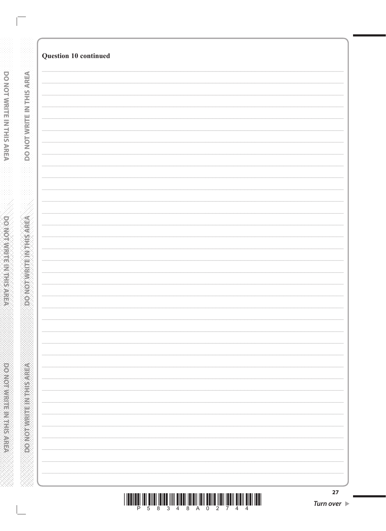| Question 10 continued |
|-----------------------|
|                       |
|                       |
|                       |
|                       |
|                       |
|                       |
|                       |
|                       |
|                       |
|                       |
|                       |
|                       |
|                       |
|                       |
|                       |
|                       |
|                       |
|                       |
|                       |
|                       |
|                       |
|                       |
|                       |
|                       |
|                       |
|                       |
|                       |
|                       |
|                       |
|                       |
|                       |
|                       |
|                       |
|                       |
|                       |
|                       |
|                       |
|                       |
|                       |
|                       |
|                       |
|                       |
|                       |
|                       |
|                       |
|                       |
|                       |
|                       |
|                       |
|                       |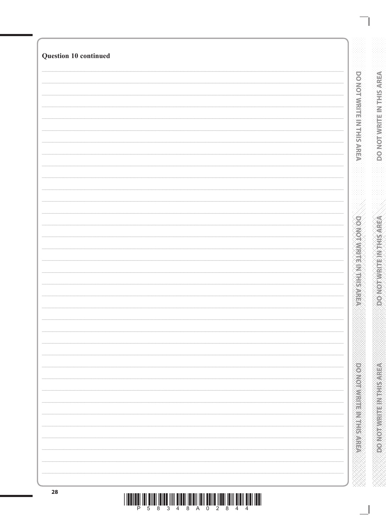| Question 10 continued |  |
|-----------------------|--|
|                       |  |
|                       |  |
|                       |  |
|                       |  |
|                       |  |
|                       |  |
|                       |  |
|                       |  |
|                       |  |
|                       |  |
|                       |  |
|                       |  |
|                       |  |
|                       |  |
|                       |  |
|                       |  |
|                       |  |
|                       |  |
|                       |  |
|                       |  |
|                       |  |
|                       |  |
|                       |  |
|                       |  |
|                       |  |
|                       |  |
|                       |  |
|                       |  |
|                       |  |
|                       |  |
|                       |  |
|                       |  |
|                       |  |
|                       |  |
|                       |  |
|                       |  |
|                       |  |
|                       |  |
|                       |  |
|                       |  |
|                       |  |
|                       |  |
|                       |  |
|                       |  |
|                       |  |
|                       |  |
|                       |  |
|                       |  |
|                       |  |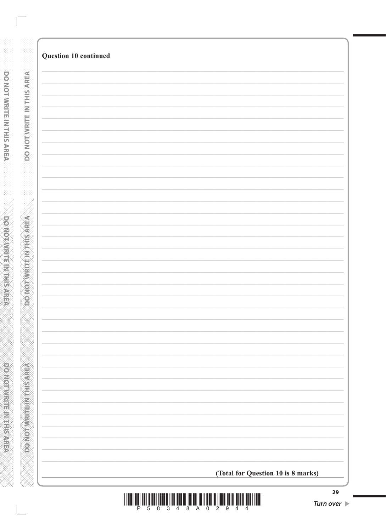| Question 10 continued              |
|------------------------------------|
|                                    |
|                                    |
|                                    |
|                                    |
|                                    |
|                                    |
|                                    |
|                                    |
|                                    |
|                                    |
|                                    |
|                                    |
|                                    |
|                                    |
|                                    |
|                                    |
|                                    |
|                                    |
|                                    |
|                                    |
|                                    |
|                                    |
|                                    |
|                                    |
|                                    |
|                                    |
|                                    |
|                                    |
|                                    |
|                                    |
|                                    |
|                                    |
|                                    |
|                                    |
|                                    |
|                                    |
| (Total for Question 10 is 8 marks) |

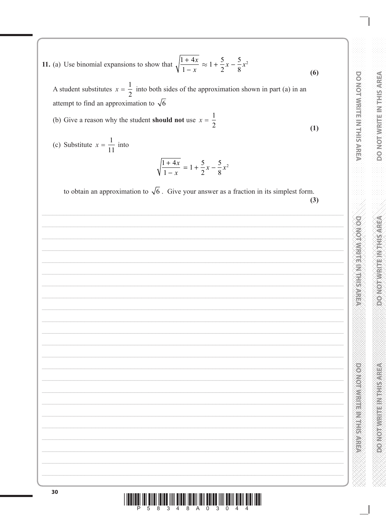DO NOT WRITE IN THIS AREA **DOMOTIVITE MARKET** 

**PONORWARE MARKET SARES** 

11. (a) Use binomial expansions to show that  $\sqrt{\frac{1+4x}{1-x}} \approx 1 + \frac{5}{2}x - \frac{5}{8}x^2$  $(6)$ 

A student substitutes  $x = \frac{1}{2}$  into both sides of the approximation shown in part (a) in an attempt to find an approximation to  $\sqrt{6}$ 

(b) Give a reason why the student **should not** use  $x = \frac{1}{2}$  $(1)$ 

(c) Substitute  $x = \frac{1}{11}$  into

$$
\sqrt{\frac{1+4x}{1-x}} = 1 + \frac{5}{2}x - \frac{5}{8}x^2
$$

to obtain an approximation to  $\sqrt{6}$ . Give your answer as a fraction in its simplest form.  $(3)$ 

| ,我们也不会有什么?""我们的人,我们也不会不会不会。""我们的人,我们也不会不会不会不会。""我们的人,我们也不会不会不会不会。""我们的人,我们也不会不会不 |  |  |
|----------------------------------------------------------------------------------|--|--|
|                                                                                  |  |  |
|                                                                                  |  |  |
|                                                                                  |  |  |
|                                                                                  |  |  |
|                                                                                  |  |  |
|                                                                                  |  |  |
|                                                                                  |  |  |
|                                                                                  |  |  |
|                                                                                  |  |  |
|                                                                                  |  |  |
|                                                                                  |  |  |
|                                                                                  |  |  |
|                                                                                  |  |  |
|                                                                                  |  |  |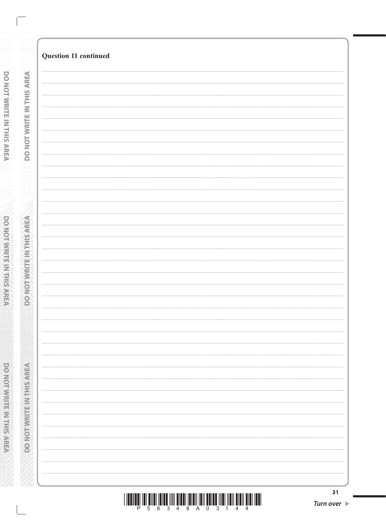|                                  | Question 11 continued |
|----------------------------------|-----------------------|
|                                  |                       |
|                                  |                       |
|                                  |                       |
|                                  |                       |
|                                  |                       |
|                                  |                       |
|                                  |                       |
| <b>DO NOT WRITE IN THIS AREA</b> |                       |
|                                  |                       |
|                                  |                       |
|                                  |                       |
|                                  |                       |
|                                  |                       |
|                                  |                       |
|                                  |                       |
|                                  |                       |
|                                  |                       |
|                                  |                       |
|                                  |                       |
|                                  |                       |
|                                  |                       |
|                                  |                       |
|                                  |                       |
|                                  |                       |
|                                  |                       |
|                                  |                       |
|                                  |                       |
| DO NOTWALTE IN THIS AREA         |                       |
|                                  |                       |
|                                  |                       |
|                                  |                       |
|                                  |                       |
|                                  |                       |
|                                  |                       |
|                                  |                       |
|                                  |                       |
|                                  |                       |
|                                  |                       |
|                                  |                       |
|                                  |                       |
|                                  |                       |
|                                  |                       |
|                                  |                       |
|                                  |                       |
| <b>REVIEW WARD AND CONCRETE</b>  |                       |
|                                  |                       |
|                                  |                       |
|                                  |                       |
|                                  |                       |
|                                  |                       |
|                                  | 31                    |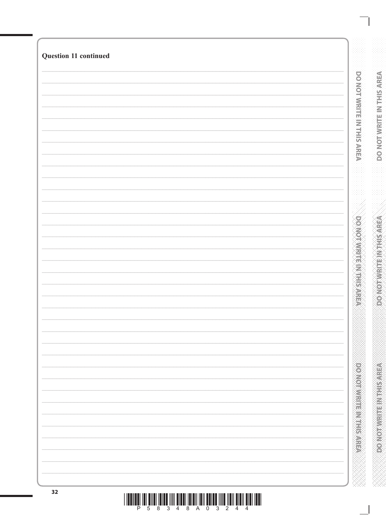| Question 11 continued |  |
|-----------------------|--|
|                       |  |
|                       |  |
|                       |  |
|                       |  |
|                       |  |
|                       |  |
|                       |  |
|                       |  |
|                       |  |
|                       |  |
|                       |  |
|                       |  |
|                       |  |
|                       |  |
|                       |  |
|                       |  |
|                       |  |
|                       |  |
|                       |  |
|                       |  |
|                       |  |
|                       |  |
|                       |  |
|                       |  |
|                       |  |
|                       |  |
|                       |  |
|                       |  |
|                       |  |
|                       |  |
|                       |  |
|                       |  |
|                       |  |
|                       |  |
|                       |  |
|                       |  |
|                       |  |
|                       |  |
|                       |  |
|                       |  |
|                       |  |
|                       |  |
|                       |  |
|                       |  |
|                       |  |
|                       |  |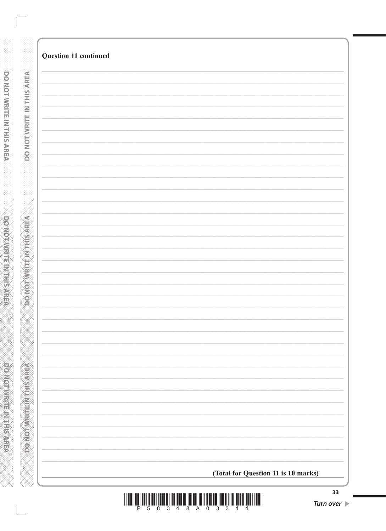| Question 11 continued |                                     |
|-----------------------|-------------------------------------|
|                       |                                     |
|                       |                                     |
|                       |                                     |
|                       |                                     |
|                       |                                     |
|                       |                                     |
|                       |                                     |
|                       |                                     |
|                       |                                     |
|                       |                                     |
|                       |                                     |
|                       |                                     |
|                       |                                     |
|                       |                                     |
|                       |                                     |
|                       |                                     |
|                       |                                     |
|                       |                                     |
|                       |                                     |
|                       |                                     |
|                       |                                     |
|                       |                                     |
|                       |                                     |
|                       |                                     |
|                       |                                     |
|                       |                                     |
|                       |                                     |
|                       |                                     |
|                       |                                     |
|                       |                                     |
|                       | (Total for Question 11 is 10 marks) |

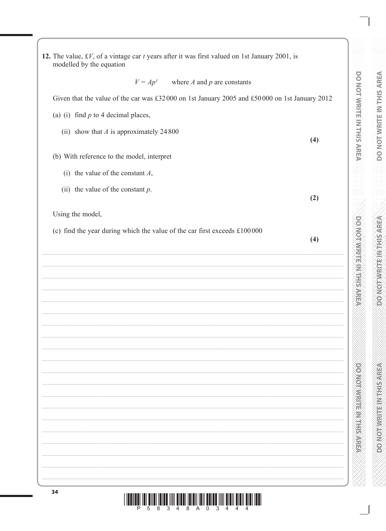| $V = Apt$ where A and p are constants                                                         |     |
|-----------------------------------------------------------------------------------------------|-----|
| Given that the value of the car was £32000 on 1st January 2005 and £50000 on 1st January 2012 |     |
| (a) (i) find $p$ to 4 decimal places,                                                         |     |
| (ii) show that $A$ is approximately 24 800                                                    | (4) |
| (b) With reference to the model, interpret                                                    |     |
| (i) the value of the constant $A$ ,                                                           |     |
| (ii) the value of the constant $p$ .                                                          | (2) |
| Using the model,                                                                              |     |
| (c) find the year during which the value of the car first exceeds £100000                     | (4) |
|                                                                                               |     |
|                                                                                               |     |
|                                                                                               |     |
|                                                                                               |     |
|                                                                                               |     |
|                                                                                               |     |
|                                                                                               |     |
|                                                                                               |     |
|                                                                                               |     |
|                                                                                               |     |
|                                                                                               |     |
|                                                                                               |     |
|                                                                                               |     |
|                                                                                               |     |
|                                                                                               |     |
|                                                                                               |     |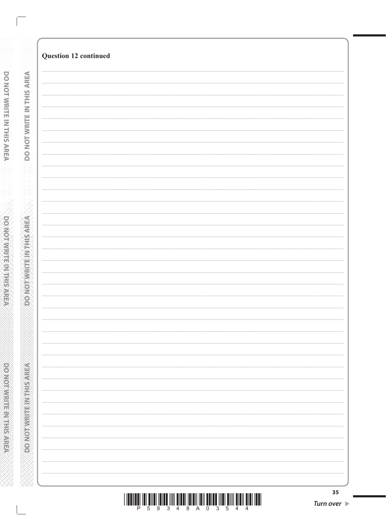| <u> I II dhe që për shtetit në shtetit në shtetit në shtetit në shtetit në shtetit në shtetit në shtetit në shte</u> |  |  |  |  |  |                         |  |
|----------------------------------------------------------------------------------------------------------------------|--|--|--|--|--|-------------------------|--|
|                                                                                                                      |  |  |  |  |  | P 5 8 3 4 8 A 0 3 5 4 4 |  |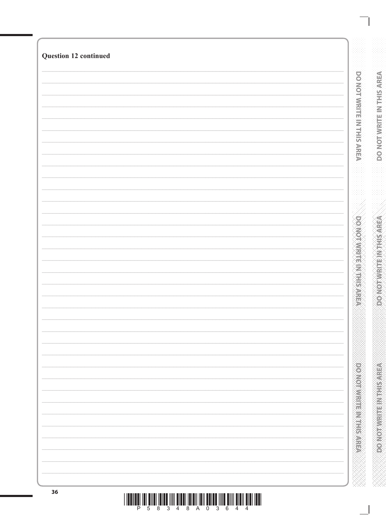| Question 12 continued |                              |
|-----------------------|------------------------------|
|                       |                              |
|                       |                              |
|                       |                              |
|                       |                              |
|                       |                              |
|                       |                              |
|                       |                              |
|                       |                              |
|                       |                              |
|                       |                              |
|                       |                              |
|                       |                              |
|                       |                              |
|                       |                              |
|                       |                              |
|                       |                              |
|                       |                              |
|                       |                              |
|                       |                              |
|                       |                              |
|                       |                              |
|                       |                              |
|                       |                              |
|                       |                              |
|                       |                              |
|                       |                              |
|                       | <b>DOMORATION IN THE ARE</b> |
|                       |                              |
|                       |                              |
|                       |                              |
|                       |                              |
|                       |                              |
|                       |                              |
|                       |                              |
|                       |                              |
|                       |                              |
|                       |                              |
|                       |                              |
|                       |                              |
|                       |                              |
|                       |                              |
|                       | <b>DOMOROVAL ELECTRICIAN</b> |
|                       |                              |
|                       |                              |
|                       |                              |
|                       |                              |
|                       |                              |
|                       |                              |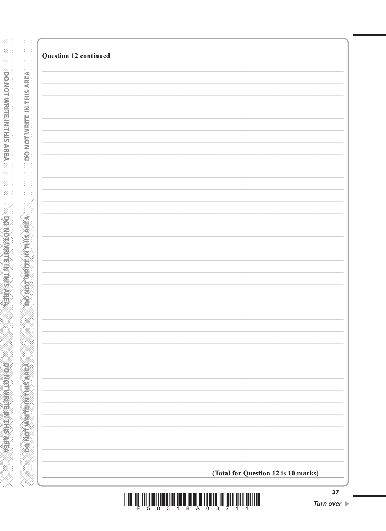|                            | Question 12 continued               |
|----------------------------|-------------------------------------|
|                            |                                     |
| DO NOT WRITE IN THIS AREA  |                                     |
|                            |                                     |
|                            |                                     |
|                            |                                     |
|                            |                                     |
|                            |                                     |
| <b>VERVISH AN ENDROOMS</b> |                                     |
|                            |                                     |
|                            |                                     |
|                            |                                     |
|                            |                                     |
|                            |                                     |
|                            |                                     |
|                            |                                     |
|                            |                                     |
|                            |                                     |
| PONOTWRITEIN HIS AREA      |                                     |
|                            |                                     |
|                            | (Total for Question 12 is 10 marks) |

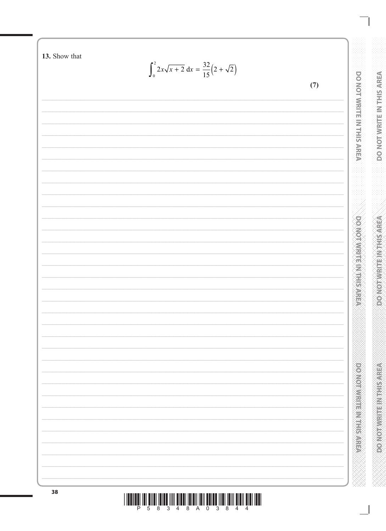13. Show that  $\int_0^2 2x\sqrt{x+2} \, \mathrm{d}x = \frac{32}{15} \left( 2 + \sqrt{2} \right)$ DO NOT WRITE IN THIS AREA  $(7)$ **DOMOTIVIRITE IN THE SAREA** powerware material 38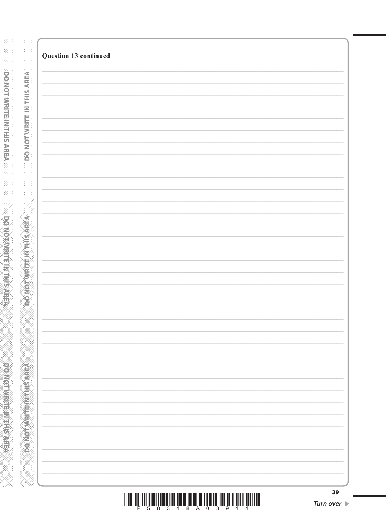|                           | Question 13 continued |
|---------------------------|-----------------------|
|                           |                       |
| DO NOT WRITE IN THIS AREA |                       |
|                           |                       |
|                           |                       |
|                           |                       |
|                           |                       |
|                           |                       |
|                           |                       |
|                           |                       |
|                           |                       |
|                           |                       |
|                           |                       |
|                           |                       |
|                           |                       |
|                           |                       |
|                           |                       |
|                           |                       |
|                           |                       |
|                           |                       |
|                           |                       |
|                           |                       |
|                           |                       |
|                           |                       |
|                           |                       |
|                           |                       |
|                           |                       |
|                           |                       |
|                           |                       |
|                           |                       |
|                           |                       |
|                           |                       |
|                           |                       |
|                           |                       |
|                           |                       |
|                           |                       |
|                           |                       |
|                           |                       |
|                           |                       |
|                           |                       |
|                           | 20                    |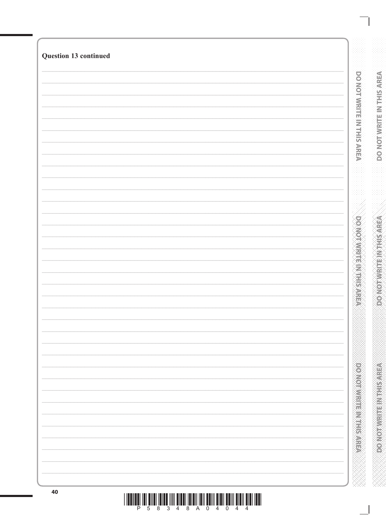| Question 13 continued |                           |
|-----------------------|---------------------------|
|                       |                           |
|                       |                           |
|                       | DO NOT WRITE IN THIS AREA |
|                       |                           |
|                       |                           |
|                       |                           |
|                       |                           |
|                       |                           |
|                       |                           |
|                       |                           |
|                       |                           |
|                       |                           |
|                       |                           |
|                       |                           |
|                       |                           |
|                       |                           |
|                       |                           |
|                       |                           |
|                       |                           |
|                       |                           |
|                       |                           |
|                       |                           |
|                       |                           |
|                       |                           |
|                       |                           |
|                       |                           |
|                       |                           |
|                       |                           |
|                       |                           |
|                       |                           |
|                       |                           |
|                       |                           |
|                       |                           |
|                       |                           |
|                       |                           |
|                       |                           |
|                       |                           |
|                       |                           |
|                       |                           |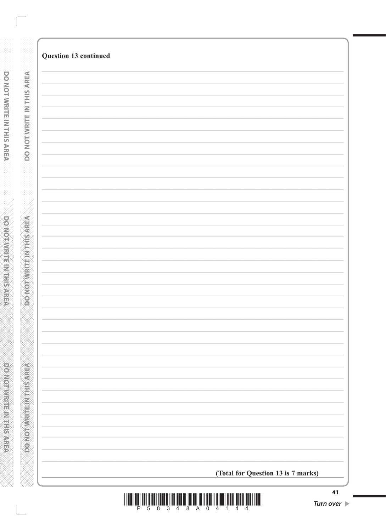| Question 13 continued              |
|------------------------------------|
|                                    |
|                                    |
|                                    |
|                                    |
|                                    |
|                                    |
|                                    |
|                                    |
|                                    |
|                                    |
|                                    |
|                                    |
|                                    |
|                                    |
|                                    |
|                                    |
|                                    |
|                                    |
|                                    |
|                                    |
|                                    |
|                                    |
|                                    |
|                                    |
|                                    |
|                                    |
|                                    |
|                                    |
|                                    |
|                                    |
|                                    |
|                                    |
|                                    |
|                                    |
|                                    |
|                                    |
|                                    |
|                                    |
| (Total for Question 13 is 7 marks) |

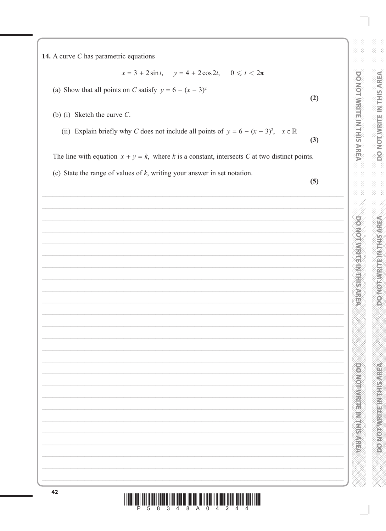14. A curve  $C$  has parametric equations

$$
x = 3 + 2\sin t, \quad y = 4 + 2\cos 2t, \quad 0 \leq t < 2\pi
$$

(a) Show that all points on C satisfy  $y = 6 - (x - 3)^2$ 

- (b) (i) Sketch the curve  $C$ .
	- (ii) Explain briefly why C does not include all points of  $y = 6 (x 3)^2$ ,  $x \in \mathbb{R}$

The line with equation  $x + y = k$ , where k is a constant, intersects C at two distinct points.

(c) State the range of values of  $k$ , writing your answer in set notation.

 $(5)$ 

 $(2)$ 

 $(3)$ 

DO NOT WRITE IN THIS AREA

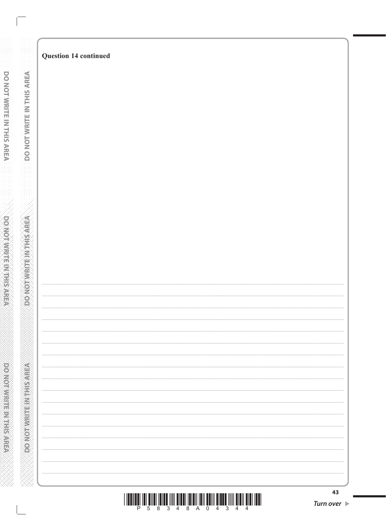|  | 43<br><b>Turn over</b> |
|--|------------------------|

# Question 14 continued

**DO NOT WRITE IN THIS AREA** 

**DONOTWEITEINTHISAREA** 

**PONORHER IN THE NORTHERN**